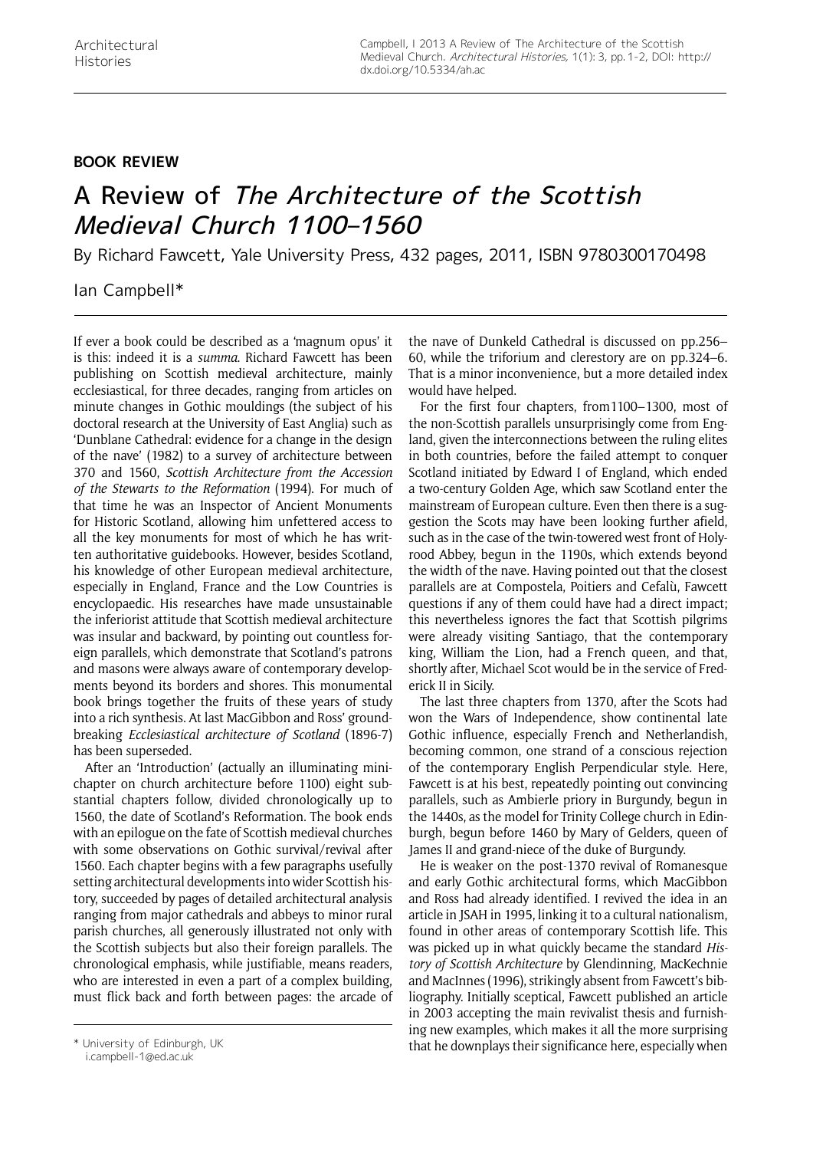## **Book Review**

## A Review of The Architecture of the Scottish Medieval Church 1100–1560

By Richard Fawcett, Yale University Press, 432 pages, 2011, ISBN 9780300170498

## Ian Campbell\*

If ever a book could be described as a 'magnum opus' it is this: indeed it is a *summa*. Richard Fawcett has been publishing on Scottish medieval architecture, mainly ecclesiastical, for three decades, ranging from articles on minute changes in Gothic mouldings (the subject of his doctoral research at the University of East Anglia) such as 'Dunblane Cathedral: evidence for a change in the design of the nave' (1982) to a survey of architecture between 370 and 1560, *Scottish Architecture from the Accession of the Stewarts to the Reformation* (1994). For much of that time he was an Inspector of Ancient Monuments for Historic Scotland, allowing him unfettered access to all the key monuments for most of which he has written authoritative guidebooks. However, besides Scotland, his knowledge of other European medieval architecture, especially in England, France and the Low Countries is encyclopaedic. His researches have made unsustainable the inferiorist attitude that Scottish medieval architecture was insular and backward, by pointing out countless foreign parallels, which demonstrate that Scotland's patrons and masons were always aware of contemporary developments beyond its borders and shores. This monumental book brings together the fruits of these years of study into a rich synthesis. At last MacGibbon and Ross' groundbreaking *Ecclesiastical architecture of Scotland* (1896-7) has been superseded.

After an 'Introduction' (actually an illuminating minichapter on church architecture before 1100) eight substantial chapters follow, divided chronologically up to 1560, the date of Scotland's Reformation. The book ends with an epilogue on the fate of Scottish medieval churches with some observations on Gothic survival/revival after 1560. Each chapter begins with a few paragraphs usefully setting architectural developments into wider Scottish history, succeeded by pages of detailed architectural analysis ranging from major cathedrals and abbeys to minor rural parish churches, all generously illustrated not only with the Scottish subjects but also their foreign parallels. The chronological emphasis, while justifiable, means readers, who are interested in even a part of a complex building. must flick back and forth between pages: the arcade of

the nave of Dunkeld Cathedral is discussed on pp.256– 60, while the triforium and clerestory are on pp.324–6. That is a minor inconvenience, but a more detailed index would have helped.

For the first four chapters, from1100–1300, most of the non-Scottish parallels unsurprisingly come from England, given the interconnections between the ruling elites in both countries, before the failed attempt to conquer Scotland initiated by Edward I of England, which ended a two-century Golden Age, which saw Scotland enter the mainstream of European culture. Even then there is a suggestion the Scots may have been looking further afield, such as in the case of the twin-towered west front of Holyrood Abbey, begun in the 1190s, which extends beyond the width of the nave. Having pointed out that the closest parallels are at Compostela, Poitiers and Cefalù, Fawcett questions if any of them could have had a direct impact; this nevertheless ignores the fact that Scottish pilgrims were already visiting Santiago, that the contemporary king, William the Lion, had a French queen, and that, shortly after, Michael Scot would be in the service of Frederick II in Sicily.

The last three chapters from 1370, after the Scots had won the Wars of Independence, show continental late Gothic influence, especially French and Netherlandish, becoming common, one strand of a conscious rejection of the contemporary English Perpendicular style. Here, Fawcett is at his best, repeatedly pointing out convincing parallels, such as Ambierle priory in Burgundy, begun in the 1440s, as the model for Trinity College church in Edinburgh, begun before 1460 by Mary of Gelders, queen of James II and grand-niece of the duke of Burgundy.

He is weaker on the post-1370 revival of Romanesque and early Gothic architectural forms, which MacGibbon and Ross had already identified. I revived the idea in an article in JSAH in 1995, linking it to a cultural nationalism, found in other areas of contemporary Scottish life. This was picked up in what quickly became the standard *History of Scottish Architecture* by Glendinning, MacKechnie and MacInnes (1996), strikingly absent from Fawcett's bibliography. Initially sceptical, Fawcett published an article in 2003 accepting the main revivalist thesis and furnishing new examples, which makes it all the more surprising \* University of Edinburgh, UK and that he downplays their significance here, especially when

i.campbell-1@ed.ac.uk